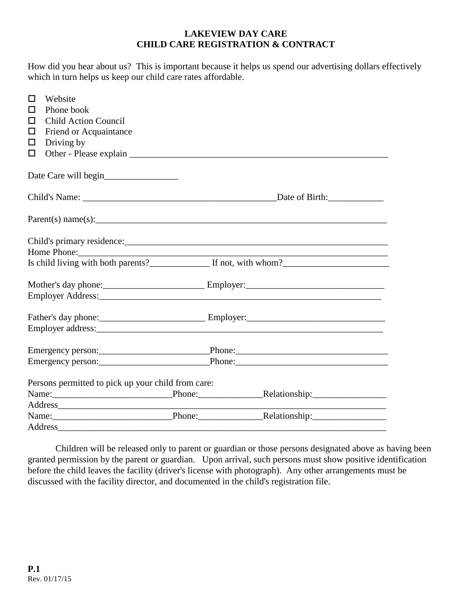### **LAKEVIEW DAY CARE CHILD CARE REGISTRATION & CONTRACT**

How did you hear about us? This is important because it helps us spend our advertising dollars effectively which in turn helps us keep our child care rates affordable.

| □<br>ΙI | Website<br>Phone book                              |  |                                   |
|---------|----------------------------------------------------|--|-----------------------------------|
| $\Box$  | <b>Child Action Council</b>                        |  |                                   |
| □       | Friend or Acquaintance                             |  |                                   |
| □<br>□  | Driving by                                         |  |                                   |
|         |                                                    |  |                                   |
|         | Date Care will begin                               |  |                                   |
|         |                                                    |  |                                   |
|         | Parent(s) name(s):                                 |  |                                   |
|         |                                                    |  |                                   |
|         |                                                    |  |                                   |
|         |                                                    |  |                                   |
|         |                                                    |  |                                   |
|         |                                                    |  |                                   |
|         |                                                    |  |                                   |
|         |                                                    |  |                                   |
|         |                                                    |  |                                   |
|         |                                                    |  |                                   |
|         |                                                    |  |                                   |
|         | Persons permitted to pick up your child from care: |  |                                   |
|         | Name: Relationship: Relationship:                  |  |                                   |
|         |                                                    |  |                                   |
|         |                                                    |  | Name: Phone: Phone: Relationship: |
|         | Address                                            |  |                                   |

Children will be released only to parent or guardian or those persons designated above as having been granted permission by the parent or guardian. Upon arrival, such persons must show positive identification before the child leaves the facility (driver's license with photograph). Any other arrangements must be discussed with the facility director, and documented in the child's registration file.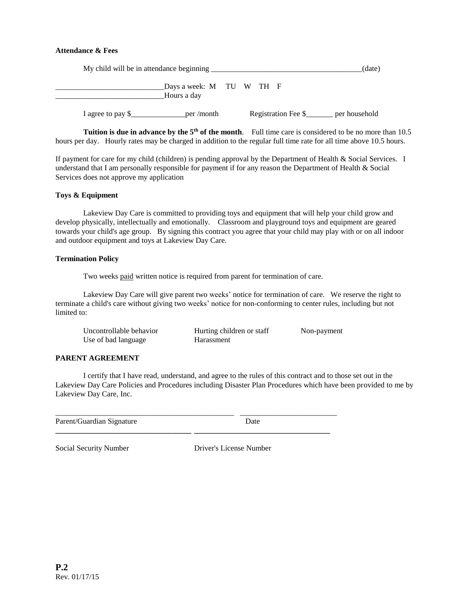### **Attendance & Fees**

|                   | My child will be in attendance beginning |  |  | (date)              |               |
|-------------------|------------------------------------------|--|--|---------------------|---------------|
|                   | Days a week: M TU W TH F                 |  |  |                     |               |
|                   | Hours a day                              |  |  |                     |               |
| I agree to pay \$ | per/month                                |  |  | Registration Fee \$ | per household |

**Tuition is due in advance by the 5<sup>th</sup> of the month**. Full time care is considered to be no more than 10.5 hours per day. Hourly rates may be charged in addition to the regular full time rate for all time above 10.5 hours.

If payment for care for my child (children) is pending approval by the Department of Health & Social Services. I understand that I am personally responsible for payment if for any reason the Department of Health & Social Services does not approve my application

### **Toys & Equipment**

Lakeview Day Care is committed to providing toys and equipment that will help your child grow and develop physically, intellectually and emotionally. Classroom and playground toys and equipment are geared towards your child's age group. By signing this contract you agree that your child may play with or on all indoor and outdoor equipment and toys at Lakeview Day Care.

#### **Termination Policy**

Two weeks paid written notice is required from parent for termination of care.

Lakeview Day Care will give parent two weeks' notice for termination of care. We reserve the right to terminate a child's care without giving two weeks' notice for non-conforming to center rules, including but not limited to:

| Uncontrollable behavior | Hurting children or staff | Non-payment |
|-------------------------|---------------------------|-------------|
| Use of bad language     | Harassment                |             |

#### **PARENT AGREEMENT**

I certify that I have read, understand, and agree to the rules of this contract and to those set out in the Lakeview Day Care Policies and Procedures including Disaster Plan Procedures which have been provided to me by Lakeview Day Care, Inc.

| Parent/Guardian Signature |  |  |
|---------------------------|--|--|

**\_\_\_\_\_\_\_\_\_\_\_\_\_\_\_\_\_\_\_\_\_\_\_\_\_\_\_\_\_\_\_\_\_\_\_ \_\_\_\_\_\_\_\_\_\_\_\_\_\_\_\_\_\_\_\_\_\_\_\_\_\_\_\_\_\_\_\_\_\_\_**

Social Security Number Driver's License Number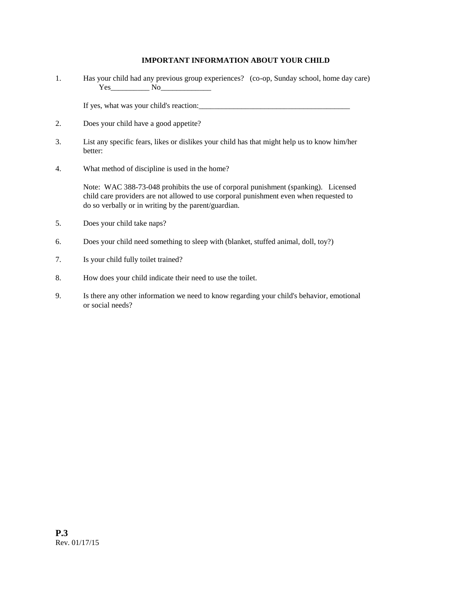### **IMPORTANT INFORMATION ABOUT YOUR CHILD**

1. Has your child had any previous group experiences? (co-op, Sunday school, home day care) Yes No

If yes, what was your child's reaction:

- 2. Does your child have a good appetite?
- 3. List any specific fears, likes or dislikes your child has that might help us to know him/her better:
- 4. What method of discipline is used in the home?

Note: WAC 388-73-048 prohibits the use of corporal punishment (spanking). Licensed child care providers are not allowed to use corporal punishment even when requested to do so verbally or in writing by the parent/guardian.

- 5. Does your child take naps?
- 6. Does your child need something to sleep with (blanket, stuffed animal, doll, toy?)
- 7. Is your child fully toilet trained?
- 8. How does your child indicate their need to use the toilet.
- 9. Is there any other information we need to know regarding your child's behavior, emotional or social needs?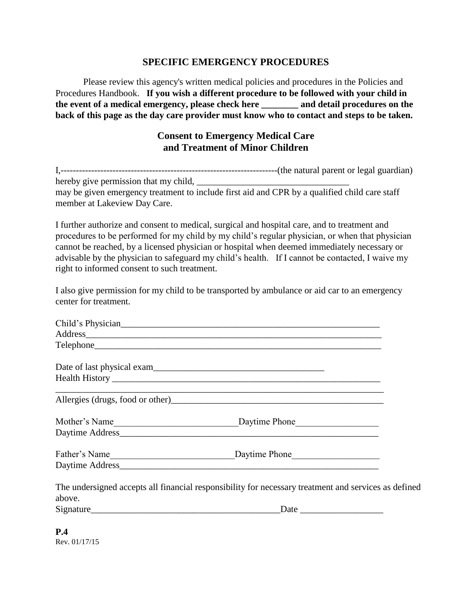### **SPECIFIC EMERGENCY PROCEDURES**

Please review this agency's written medical policies and procedures in the Policies and Procedures Handbook. **If you wish a different procedure to be followed with your child in the event of a medical emergency, please check here \_\_\_\_\_\_\_\_ and detail procedures on the back of this page as the day care provider must know who to contact and steps to be taken.**

# **Consent to Emergency Medical Care and Treatment of Minor Children**

| $1. - -$                              | ----(the natural parent or legal guardian)                                                    |
|---------------------------------------|-----------------------------------------------------------------------------------------------|
|                                       |                                                                                               |
| hereby give permission that my child, |                                                                                               |
|                                       | may be given emergency treatment to include first aid and CPR by a qualified child care staff |
| member at Lakeview Day Care.          |                                                                                               |

I further authorize and consent to medical, surgical and hospital care, and to treatment and procedures to be performed for my child by my child's regular physician, or when that physician cannot be reached, by a licensed physician or hospital when deemed immediately necessary or advisable by the physician to safeguard my child's health. If I cannot be contacted, I waive my right to informed consent to such treatment.

I also give permission for my child to be transported by ambulance or aid car to an emergency center for treatment.

|        | Child's Physician                                                                                    |  |
|--------|------------------------------------------------------------------------------------------------------|--|
|        |                                                                                                      |  |
|        |                                                                                                      |  |
|        |                                                                                                      |  |
|        |                                                                                                      |  |
|        |                                                                                                      |  |
|        |                                                                                                      |  |
|        |                                                                                                      |  |
|        |                                                                                                      |  |
|        |                                                                                                      |  |
|        | The undersigned accepts all financial responsibility for necessary treatment and services as defined |  |
| above. |                                                                                                      |  |
|        | Signature Date Date Date                                                                             |  |
|        |                                                                                                      |  |

**P.4** Rev. 01/17/15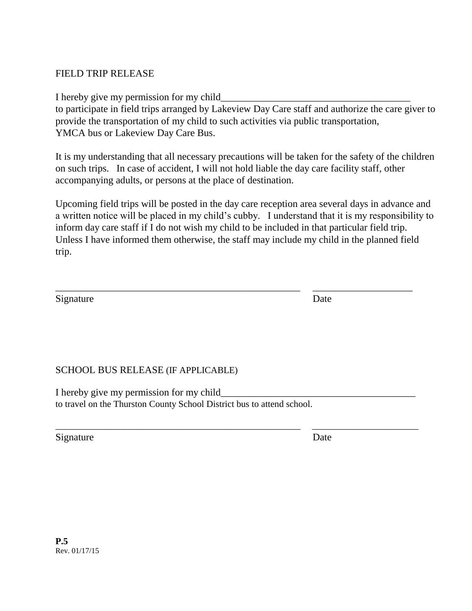## FIELD TRIP RELEASE

I hereby give my permission for my child

to participate in field trips arranged by Lakeview Day Care staff and authorize the care giver to provide the transportation of my child to such activities via public transportation, YMCA bus or Lakeview Day Care Bus.

It is my understanding that all necessary precautions will be taken for the safety of the children on such trips. In case of accident, I will not hold liable the day care facility staff, other accompanying adults, or persons at the place of destination.

Upcoming field trips will be posted in the day care reception area several days in advance and a written notice will be placed in my child's cubby. I understand that it is my responsibility to inform day care staff if I do not wish my child to be included in that particular field trip. Unless I have informed them otherwise, the staff may include my child in the planned field trip.

\_\_\_\_\_\_\_\_\_\_\_\_\_\_\_\_\_\_\_\_\_\_\_\_\_\_\_\_\_\_\_\_\_\_\_\_\_\_\_\_\_\_\_\_\_\_\_\_\_ \_\_\_\_\_\_\_\_\_\_\_\_\_\_\_\_\_\_\_\_

\_\_\_\_\_\_\_\_\_\_\_\_\_\_\_\_\_\_\_\_\_\_\_\_\_\_\_\_\_\_\_\_\_\_\_\_\_\_\_\_\_\_\_\_\_\_\_\_\_\_\_\_\_ \_\_\_\_\_\_\_\_\_\_\_\_\_\_\_\_\_\_\_\_\_\_\_

Signature Date

## SCHOOL BUS RELEASE (IF APPLICABLE)

I hereby give my permission for my child to travel on the Thurston County School District bus to attend school.

Signature Date